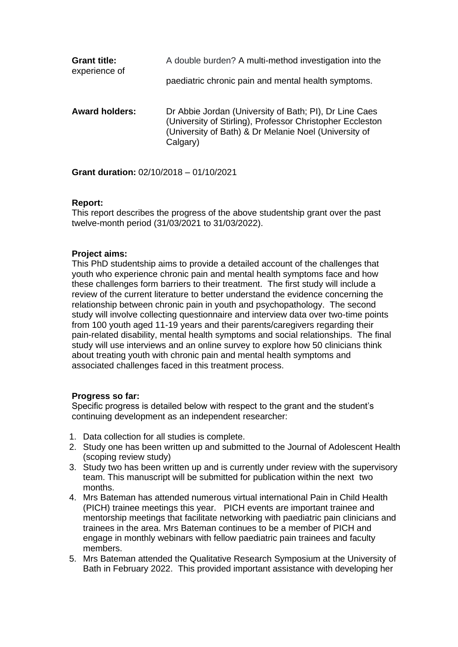| <b>Grant title:</b>   | A double burden? A multi-method investigation into the                                                                                                                                   |
|-----------------------|------------------------------------------------------------------------------------------------------------------------------------------------------------------------------------------|
| experience of         | paediatric chronic pain and mental health symptoms.                                                                                                                                      |
| <b>Award holders:</b> | Dr Abbie Jordan (University of Bath; PI), Dr Line Caes<br>(University of Stirling), Professor Christopher Eccleston<br>(University of Bath) & Dr Melanie Noel (University of<br>Calgary) |

**Grant duration:** 02/10/2018 – 01/10/2021

# **Report:**

This report describes the progress of the above studentship grant over the past twelve-month period (31/03/2021 to 31/03/2022).

# **Project aims:**

This PhD studentship aims to provide a detailed account of the challenges that youth who experience chronic pain and mental health symptoms face and how these challenges form barriers to their treatment. The first study will include a review of the current literature to better understand the evidence concerning the relationship between chronic pain in youth and psychopathology. The second study will involve collecting questionnaire and interview data over two-time points from 100 youth aged 11-19 years and their parents/caregivers regarding their pain-related disability, mental health symptoms and social relationships. The final study will use interviews and an online survey to explore how 50 clinicians think about treating youth with chronic pain and mental health symptoms and associated challenges faced in this treatment process.

### **Progress so far:**

Specific progress is detailed below with respect to the grant and the student's continuing development as an independent researcher:

- 1. Data collection for all studies is complete.
- 2. Study one has been written up and submitted to the Journal of Adolescent Health (scoping review study)
- 3. Study two has been written up and is currently under review with the supervisory team. This manuscript will be submitted for publication within the next two months.
- 4. Mrs Bateman has attended numerous virtual international Pain in Child Health (PICH) trainee meetings this year. PICH events are important trainee and mentorship meetings that facilitate networking with paediatric pain clinicians and trainees in the area. Mrs Bateman continues to be a member of PICH and engage in monthly webinars with fellow paediatric pain trainees and faculty members.
- 5. Mrs Bateman attended the Qualitative Research Symposium at the University of Bath in February 2022. This provided important assistance with developing her